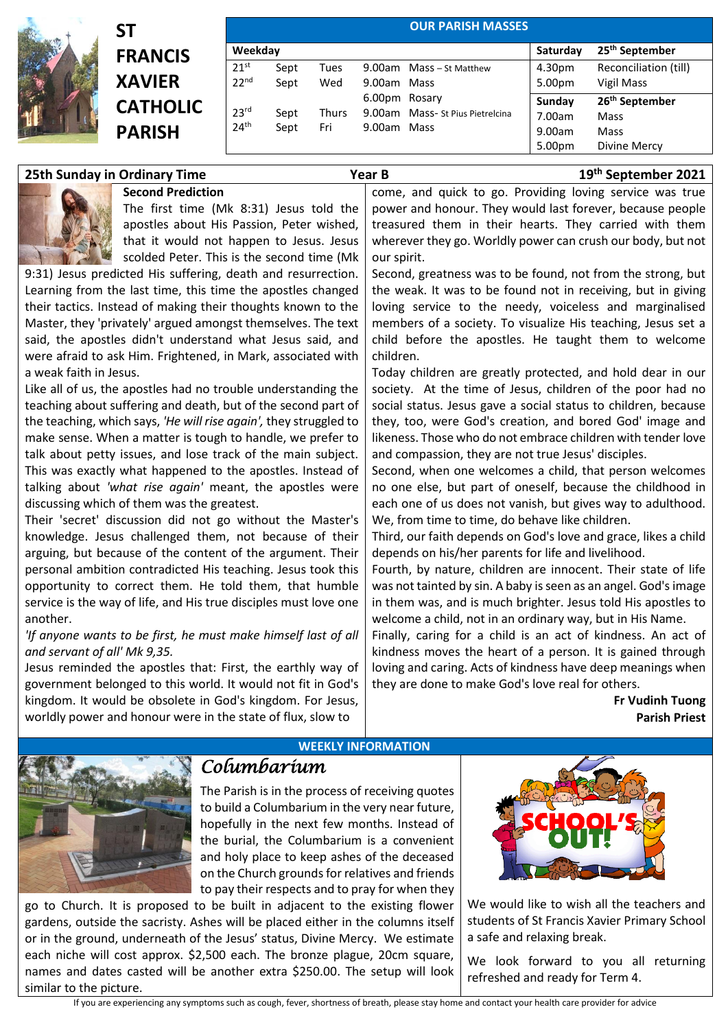

## **ST FRANCIS XAVIER CATHOLIC PARISH**

**Second Prediction**

|                                      |              |              |                              | <b>OUR PARISH MASSES</b>        |                  |                                          |
|--------------------------------------|--------------|--------------|------------------------------|---------------------------------|------------------|------------------------------------------|
| Weekday                              |              |              |                              |                                 | Saturday         | 25 <sup>th</sup> September               |
| 21 <sup>st</sup>                     | Sept         | Tues         |                              | 9.00am Mass - St Matthew        | 4.30pm           | Reconciliation (till)                    |
| 22 <sup>nd</sup>                     | Sept         | Wed          | 9.00am Mass<br>6.00pm Rosary |                                 | 5.00pm<br>Sunday | Vigil Mass<br>26 <sup>th</sup> September |
| 23 <sup>rd</sup><br>24 <sup>th</sup> | Sept<br>Sept | Thurs<br>Fri | 9.00am Mass                  | 9.00am Mass-St Pius Pietrelcina | 7.00am<br>9.00am | Mass<br>Mass                             |
|                                      |              |              |                              |                                 | 5.00pm           | Divine Mercy                             |

come, and quick to go. Providing loving service was true

| The first time (Mk 8:31) Jesus told the                           | power and honour. They would last forever, because people       |  |  |  |  |
|-------------------------------------------------------------------|-----------------------------------------------------------------|--|--|--|--|
| apostles about His Passion, Peter wished,                         | treasured them in their hearts. They carried with them          |  |  |  |  |
| that it would not happen to Jesus. Jesus                          | wherever they go. Worldly power can crush our body, but not     |  |  |  |  |
| scolded Peter. This is the second time (Mk                        | our spirit.                                                     |  |  |  |  |
| 9:31) Jesus predicted His suffering, death and resurrection.      | Second, greatness was to be found, not from the strong, but     |  |  |  |  |
| Learning from the last time, this time the apostles changed       | the weak. It was to be found not in receiving, but in giving    |  |  |  |  |
| their tactics. Instead of making their thoughts known to the      | loving service to the needy, voiceless and marginalised         |  |  |  |  |
| Master, they 'privately' argued amongst themselves. The text      | members of a society. To visualize His teaching, Jesus set a    |  |  |  |  |
| said, the apostles didn't understand what Jesus said, and         | child before the apostles. He taught them to welcome            |  |  |  |  |
| were afraid to ask Him. Frightened, in Mark, associated with      | children.                                                       |  |  |  |  |
| a weak faith in Jesus.                                            | Today children are greatly protected, and hold dear in our      |  |  |  |  |
| Like all of us, the apostles had no trouble understanding the     | society. At the time of Jesus, children of the poor had no      |  |  |  |  |
| teaching about suffering and death, but of the second part of     | social status. Jesus gave a social status to children, because  |  |  |  |  |
| the teaching, which says, 'He will rise again', they struggled to | they, too, were God's creation, and bored God' image and        |  |  |  |  |
| make sense. When a matter is tough to handle, we prefer to        | likeness. Those who do not embrace children with tender love    |  |  |  |  |
| talk about petty issues, and lose track of the main subject.      | and compassion, they are not true Jesus' disciples.             |  |  |  |  |
| This was exactly what happened to the apostles. Instead of        | Second, when one welcomes a child, that person welcomes         |  |  |  |  |
| talking about 'what rise again' meant, the apostles were          | no one else, but part of oneself, because the childhood in      |  |  |  |  |
| discussing which of them was the greatest.                        | each one of us does not vanish, but gives way to adulthood.     |  |  |  |  |
| Their 'secret' discussion did not go without the Master's         | We, from time to time, do behave like children.                 |  |  |  |  |
| knowledge. Jesus challenged them, not because of their            | Third, our faith depends on God's love and grace, likes a child |  |  |  |  |
| arguing, but because of the content of the argument. Their        | depends on his/her parents for life and livelihood.             |  |  |  |  |
| personal ambition contradicted His teaching. Jesus took this      | Fourth, by nature, children are innocent. Their state of life   |  |  |  |  |
| opportunity to correct them. He told them, that humble            | was not tainted by sin. A baby is seen as an angel. God's image |  |  |  |  |
| service is the way of life, and His true disciples must love one  | in them was, and is much brighter. Jesus told His apostles to   |  |  |  |  |
| another.                                                          | welcome a child, not in an ordinary way, but in His Name.       |  |  |  |  |
| 'If anyone wants to be first, he must make himself last of all    | Finally, caring for a child is an act of kindness. An act of    |  |  |  |  |
| and servant of all' Mk 9,35.                                      | kindness moves the heart of a person. It is gained through      |  |  |  |  |
| Jesus reminded the apostles that: First, the earthly way of       | loving and caring. Acts of kindness have deep meanings when     |  |  |  |  |
| government belonged to this world. It would not fit in God's      | they are done to make God's love real for others.               |  |  |  |  |
| kingdom. It would be obsolete in God's kingdom. For Jesus,        | Fr Vudinh Tuong                                                 |  |  |  |  |
| worldly power and honour were in the state of flux, slow to       | <b>Parish Priest</b>                                            |  |  |  |  |
| <b>WEEKLY INFORMATION</b>                                         |                                                                 |  |  |  |  |

**25th Sunday in Ordinary Time Year B 19th September 2021**



## *Columbarium*

The Parish is in the process of receiving quotes to build a Columbarium in the very near future, hopefully in the next few months. Instead of the burial, the Columbarium is a convenient and holy place to keep ashes of the deceased on the Church grounds for relatives and friends to pay their respects and to pray for when they

go to Church. It is proposed to be built in adjacent to the existing flower gardens, outside the sacristy. Ashes will be placed either in the columns itself or in the ground, underneath of the Jesus' status, Divine Mercy. We estimate each niche will cost approx. \$2,500 each. The bronze plague, 20cm square, names and dates casted will be another extra \$250.00. The setup will look similar to the picture.



We would like to wish all the teachers and students of St Francis Xavier Primary School a safe and relaxing break.

We look forward to you all returning refreshed and ready for Term 4.